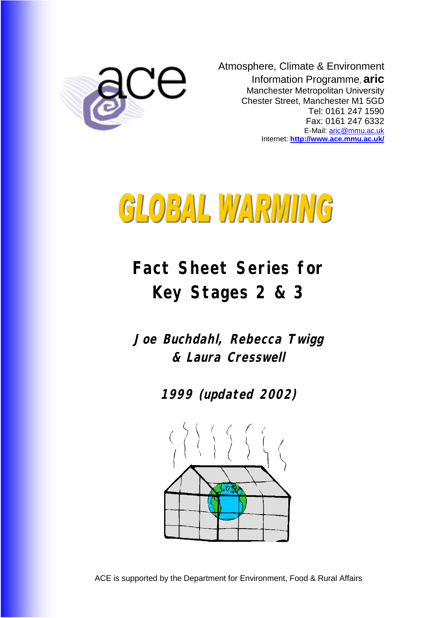

Atmosphere, Climate & Environment Information Programme, **aric** Manchester Metropolitan University Chester Street, Manchester M1 5GD Tel: 0161 247 1590 Fax: 0161 247 6332 E-Mail: [aric@mmu.ac.uk](mailto:aric@mmu.ac.uk) Internet: **<http://www.ace.mmu.ac.uk/>**



# **Fact Sheet Series for Key Stages 2 & 3**

**Joe Buchdahl, Rebecca Twigg & Laura Cresswell** 

**1999 (updated 2002)**

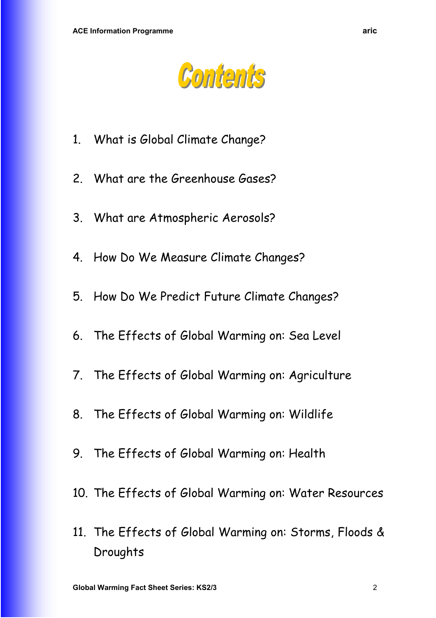

- 1. What is Global Climate Change?
- 2. What are the Greenhouse Gases?
- 3. What are Atmospheric Aerosols?
- 4. How Do We Measure Climate Changes?
- 5. How Do We Predict Future Climate Changes?
- 6. The Effects of Global Warming on: Sea Level
- 7. The Effects of Global Warming on: Agriculture
- 8. The Effects of Global Warming on: Wildlife
- 9. The Effects of Global Warming on: Health
- 10. The Effects of Global Warming on: Water Resources
- 11. The Effects of Global Warming on: Storms, Floods & Droughts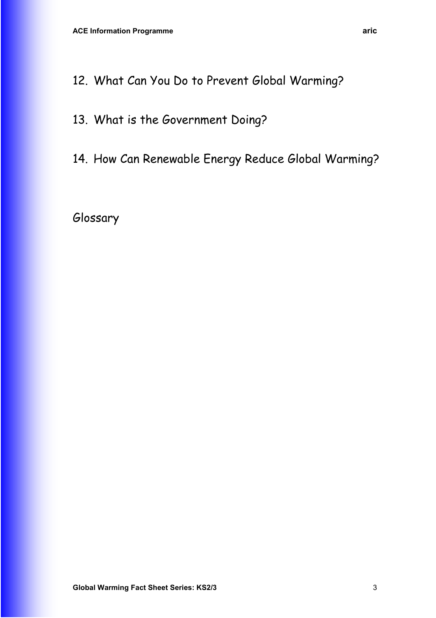- 13. What is the Government Doing?
- 14. How Can Renewable Energy Reduce Global Warming?

Glossary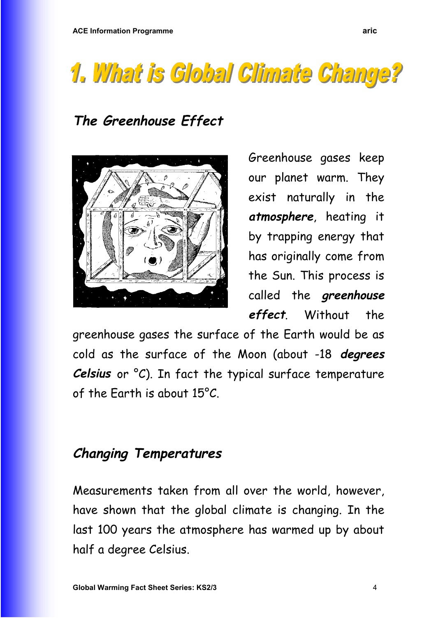# 1. What is Global Climate Change?

# **The Greenhouse Effect**



Greenhouse gases keep our planet warm. They exist naturally in the **atmosphere**, heating it by trapping energy that has originally come from the Sun. This process is called the **greenhouse effect**. Without the

greenhouse gases the surface of the Earth would be as cold as the surface of the Moon (about -18 **degrees Celsius** or °C). In fact the typical surface temperature of the Earth is about 15°C.

# **Changing Temperatures**

Measurements taken from all over the world, however, have shown that the global climate is changing. In the last 100 years the atmosphere has warmed up by about half a degree Celsius.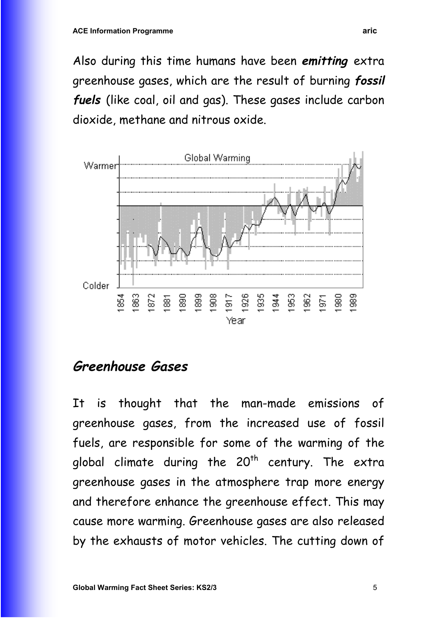Also during this time humans have been **emitting** extra greenhouse gases, which are the result of burning **fossil fuels** (like coal, oil and gas). These gases include carbon dioxide, methane and nitrous oxide.



## **Greenhouse Gases**

It is thought that the man-made emissions of greenhouse gases, from the increased use of fossil fuels, are responsible for some of the warming of the global climate during the  $20<sup>th</sup>$  century. The extra greenhouse gases in the atmosphere trap more energy and therefore enhance the greenhouse effect. This may cause more warming. Greenhouse gases are also released by the exhausts of motor vehicles. The cutting down of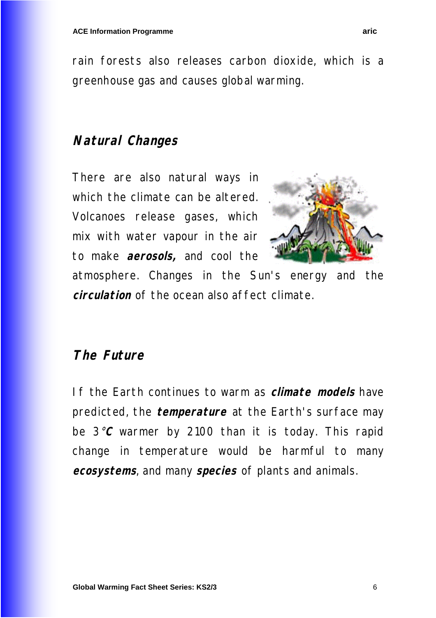rain forests also releases carbon dioxide, which is a greenhouse gas and causes global warming.

## **Natural Changes**

There are also natural ways in which the climate can be altered. Volcanoes release gases, which mix with water vapour in the air to make **aerosols,** and cool the

![](_page_5_Picture_5.jpeg)

atmosphere. Changes in the Sun's energy and the **circulation** of the ocean also affect climate.

## **The Future**

If the Earth continues to warm as **climate models** have predicted, the **temperature** at the Earth's surface may be 3°**C** warmer by 2100 than it is today. This rapid change in temperature would be harmful to many **ecosystems**, and many **species** of plants and animals.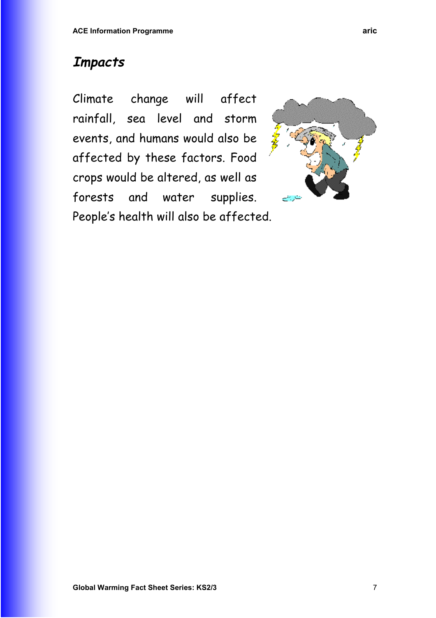# **Impacts**

Climate change will affect rainfall, sea level and storm events, and humans would also be affected by these factors. Food crops would be altered, as well as forests and water supplies. People's health will also be affected.

![](_page_6_Figure_3.jpeg)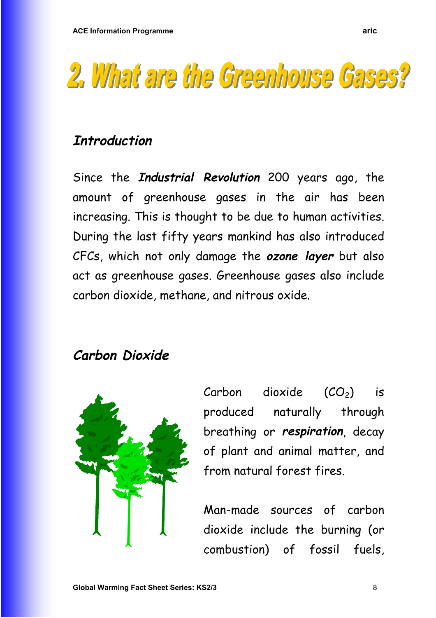![](_page_7_Picture_1.jpeg)

# **Introduction**

Since the **Industrial Revolution** 200 years ago, the amount of greenhouse gases in the air has been increasing. This is thought to be due to human activities. During the last fifty years mankind has also introduced CFCs, which not only damage the **ozone layer** but also act as greenhouse gases. Greenhouse gases also include carbon dioxide, methane, and nitrous oxide.

# **Carbon Dioxide**

![](_page_7_Picture_5.jpeg)

Carbon dioxide  $(CO_2)$  is produced naturally through breathing or **respiration**, decay of plant and animal matter, and from natural forest fires.

Man-made sources of carbon dioxide include the burning (or combustion) of fossil fuels,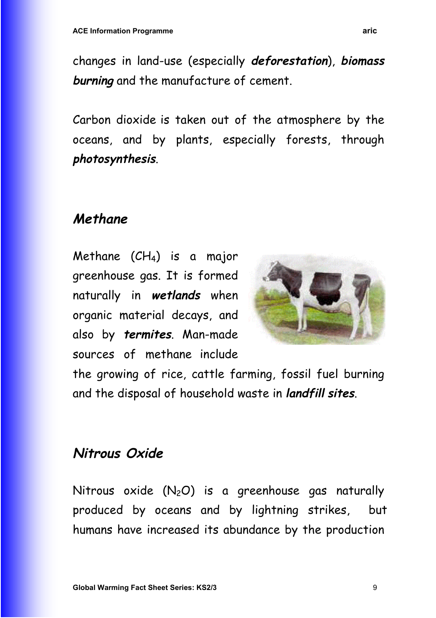changes in land-use (especially **deforestation**), **biomass burning** and the manufacture of cement.

Carbon dioxide is taken out of the atmosphere by the oceans, and by plants, especially forests, through **photosynthesis**.

# **Methane**

Methane  $(CH_4)$  is a major greenhouse gas. It is formed naturally in **wetlands** when organic material decays, and also by **termites**. Man-made sources of methane include

![](_page_8_Picture_5.jpeg)

the growing of rice, cattle farming, fossil fuel burning and the disposal of household waste in **landfill sites**.

# **Nitrous Oxide**

Nitrous oxide  $(N_2O)$  is a greenhouse gas naturally produced by oceans and by lightning strikes, but humans have increased its abundance by the production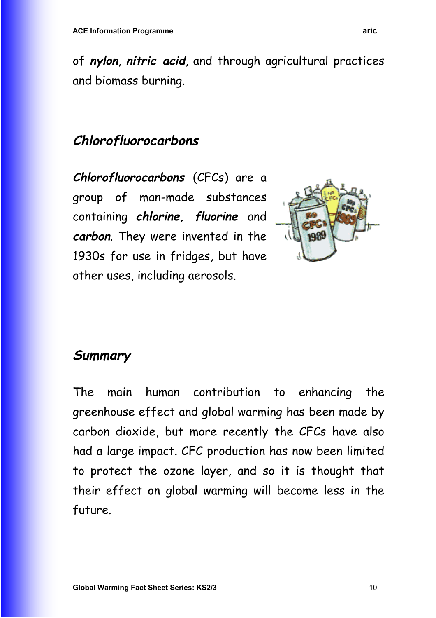of **nylon**, **nitric acid**, and through agricultural practices and biomass burning.

# **Chlorofluorocarbons**

**Chlorofluorocarbons** (CFCs) are a group of man-made substances containing **chlorine, fluorine** and **carbon**. They were invented in the 1930s for use in fridges, but have other uses, including aerosols.

![](_page_9_Picture_4.jpeg)

# **Summary**

The main human contribution to enhancing the greenhouse effect and global warming has been made by carbon dioxide, but more recently the CFCs have also had a large impact. CFC production has now been limited to protect the ozone layer, and so it is thought that their effect on global warming will become less in the future.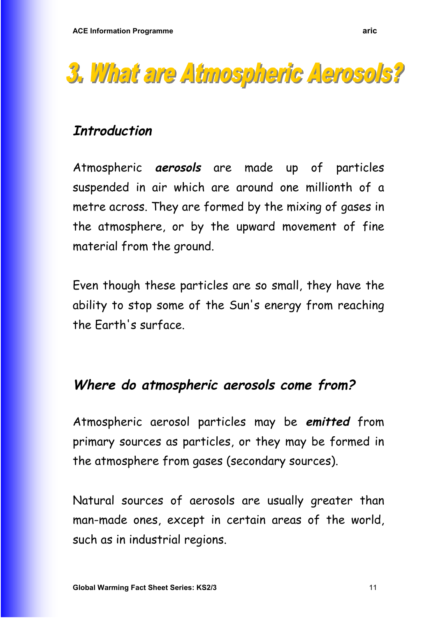![](_page_10_Picture_1.jpeg)

# **Introduction**

Atmospheric **aerosols** are made up of particles suspended in air which are around one millionth of a metre across. They are formed by the mixing of gases in the atmosphere, or by the upward movement of fine material from the ground.

Even though these particles are so small, they have the ability to stop some of the Sun's energy from reaching the Earth's surface.

## **Where do atmospheric aerosols come from?**

Atmospheric aerosol particles may be **emitted** from primary sources as particles, or they may be formed in the atmosphere from gases (secondary sources).

Natural sources of aerosols are usually greater than man-made ones, except in certain areas of the world, such as in industrial regions.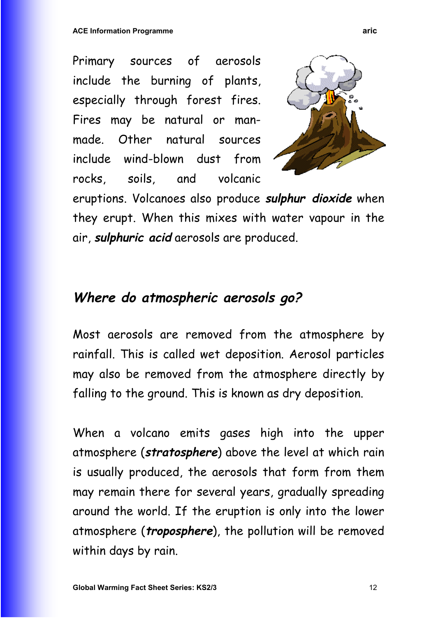Primary sources of aerosols include the burning of plants, especially through forest fires. Fires may be natural or manmade. Other natural sources include wind-blown dust from rocks, soils, and volcanic

![](_page_11_Picture_2.jpeg)

eruptions. Volcanoes also produce **sulphur dioxide** when they erupt. When this mixes with water vapour in the air, **sulphuric acid** aerosols are produced.

# **Where do atmospheric aerosols go?**

Most aerosols are removed from the atmosphere by rainfall. This is called wet deposition. Aerosol particles may also be removed from the atmosphere directly by falling to the ground. This is known as dry deposition.

When a volcano emits gases high into the upper atmosphere (**stratosphere**) above the level at which rain is usually produced, the aerosols that form from them may remain there for several years, gradually spreading around the world. If the eruption is only into the lower atmosphere (**troposphere**), the pollution will be removed within days by rain.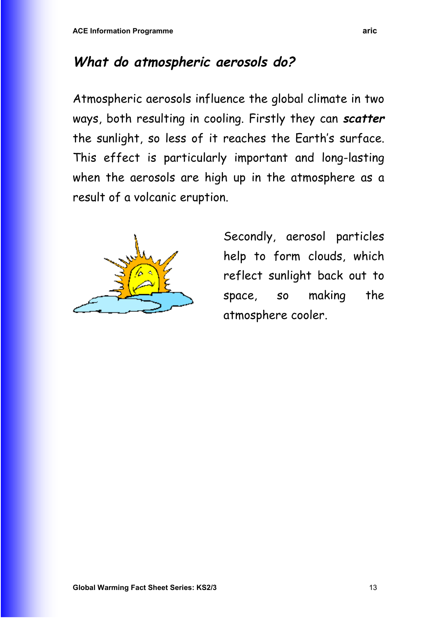# **What do atmospheric aerosols do?**

Atmospheric aerosols influence the global climate in two ways, both resulting in cooling. Firstly they can **scatter** the sunlight, so less of it reaches the Earth's surface. This effect is particularly important and long-lasting when the aerosols are high up in the atmosphere as a result of a volcanic eruption.

![](_page_12_Picture_3.jpeg)

Secondly, aerosol particles help to form clouds, which reflect sunlight back out to space, so making the atmosphere cooler.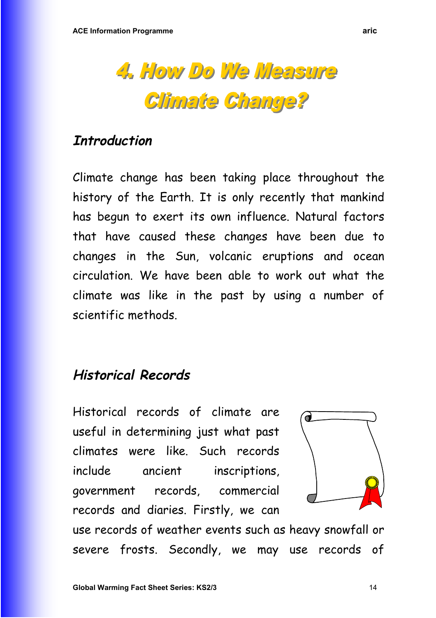![](_page_13_Picture_1.jpeg)

## **Introduction**

Climate change has been taking place throughout the history of the Earth. It is only recently that mankind has begun to exert its own influence. Natural factors that have caused these changes have been due to changes in the Sun, volcanic eruptions and ocean circulation. We have been able to work out what the climate was like in the past by using a number of scientific methods.

# **Historical Records**

Historical records of climate are useful in determining just what past climates were like. Such records include ancient inscriptions, government records, commercial records and diaries. Firstly, we can

![](_page_13_Picture_6.jpeg)

use records of weather events such as heavy snowfall or severe frosts. Secondly, we may use records of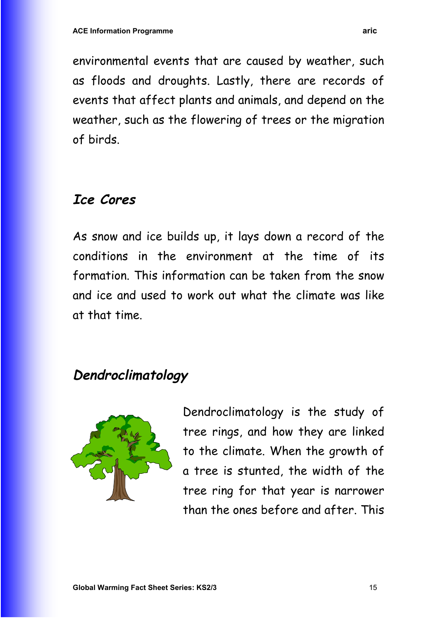environmental events that are caused by weather, such as floods and droughts. Lastly, there are records of events that affect plants and animals, and depend on the weather, such as the flowering of trees or the migration of birds.

## **Ice Cores**

As snow and ice builds up, it lays down a record of the conditions in the environment at the time of its formation. This information can be taken from the snow and ice and used to work out what the climate was like at that time.

# **Dendroclimatology**

![](_page_14_Picture_5.jpeg)

Dendroclimatology is the study of tree rings, and how they are linked to the climate. When the growth of a tree is stunted, the width of the tree ring for that year is narrower than the ones before and after. This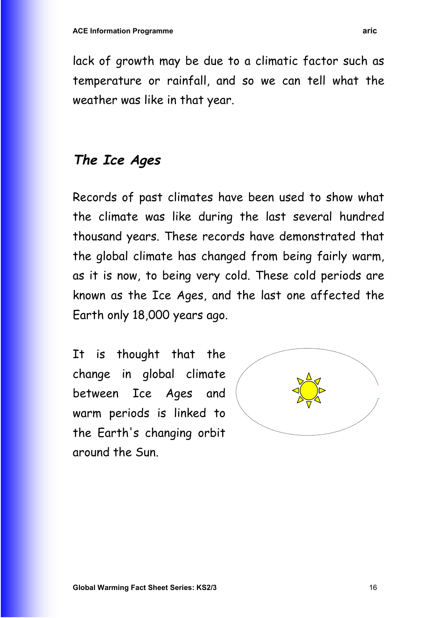lack of growth may be due to a climatic factor such as temperature or rainfall, and so we can tell what the weather was like in that year.

# **The Ice Ages**

Records of past climates have been used to show what the climate was like during the last several hundred thousand years. These records have demonstrated that the global climate has changed from being fairly warm, as it is now, to being very cold. These cold periods are known as the Ice Ages, and the last one affected the Earth only 18,000 years ago.

It is thought that the change in global climate between Ice Ages and warm periods is linked to the Earth's changing orbit around the Sun.

![](_page_15_Picture_5.jpeg)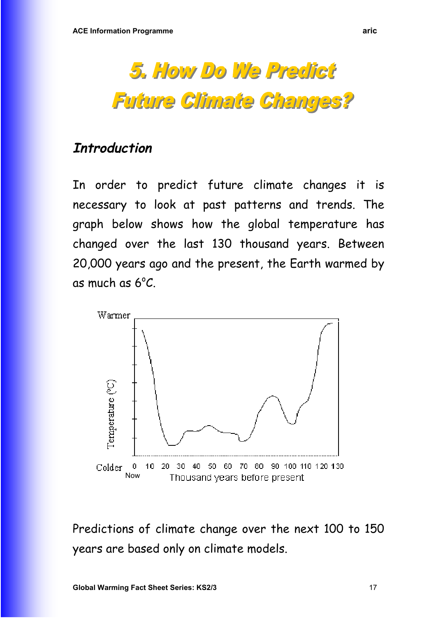# 5. How Do We Predict **Future Climate Changes?**

## **Introduction**

In order to predict future climate changes it is necessary to look at past patterns and trends. The graph below shows how the global temperature has changed over the last 130 thousand years. Between 20,000 years ago and the present, the Earth warmed by as much as  $6^{\circ}C$ .

![](_page_16_Figure_4.jpeg)

Predictions of climate change over the next 100 to 150 years are based only on climate models.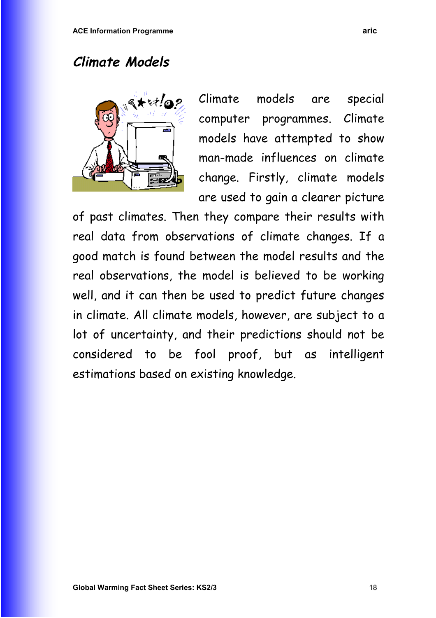# **Climate Models**

![](_page_17_Picture_2.jpeg)

Climate models are special computer programmes. Climate models have attempted to show man-made influences on climate change. Firstly, climate models are used to gain a clearer picture

of past climates. Then they compare their results with real data from observations of climate changes. If a good match is found between the model results and the real observations, the model is believed to be working well, and it can then be used to predict future changes in climate. All climate models, however, are subject to a lot of uncertainty, and their predictions should not be considered to be fool proof, but as intelligent estimations based on existing knowledge.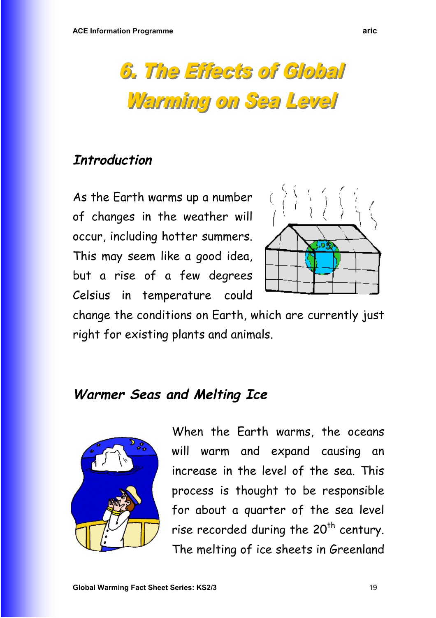![](_page_18_Picture_1.jpeg)

## **Introduction**

As the Earth warms up a number of changes in the weather will occur, including hotter summers. This may seem like a good idea, but a rise of a few degrees Celsius in temperature could

![](_page_18_Picture_4.jpeg)

change the conditions on Earth, which are currently just right for existing plants and animals.

## **Warmer Seas and Melting Ice**

![](_page_18_Picture_7.jpeg)

When the Earth warms, the oceans will warm and expand causing an increase in the level of the sea. This process is thought to be responsible for about a quarter of the sea level rise recorded during the  $20<sup>th</sup>$  century. The melting of ice sheets in Greenland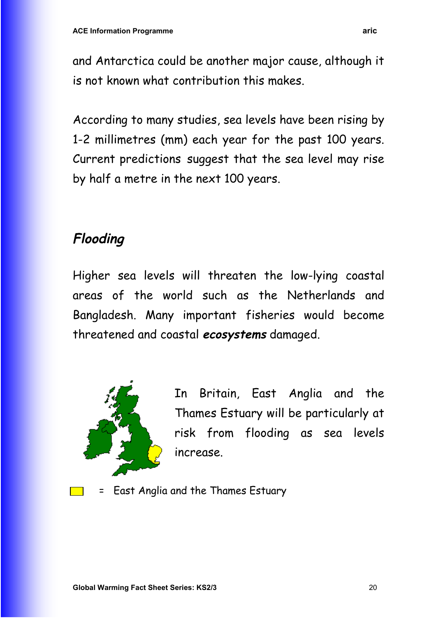and Antarctica could be another major cause, although it is not known what contribution this makes.

According to many studies, sea levels have been rising by 1-2 millimetres (mm) each year for the past 100 years. Current predictions suggest that the sea level may rise by half a metre in the next 100 years.

# **Flooding**

Higher sea levels will threaten the low-lying coastal areas of the world such as the Netherlands and Bangladesh. Many important fisheries would become threatened and coastal **ecosystems** damaged.

![](_page_19_Picture_5.jpeg)

In Britain, East Anglia and the Thames Estuary will be particularly at risk from flooding as sea levels increase.

= East Anglia and the Thames Estuary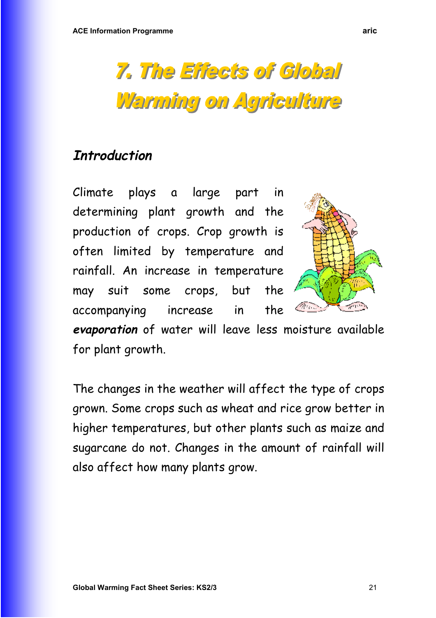# 7. The Effects of Global Warming on Agriculture

# **Introduction**

Climate plays a large part in determining plant growth and the production of crops. Crop growth is often limited by temperature and rainfall. An increase in temperature may suit some crops, but the accompanying increase in the

![](_page_20_Picture_4.jpeg)

**evaporation** of water will leave less moisture available for plant growth.

The changes in the weather will affect the type of crops grown. Some crops such as wheat and rice grow better in higher temperatures, but other plants such as maize and sugarcane do not. Changes in the amount of rainfall will also affect how many plants grow.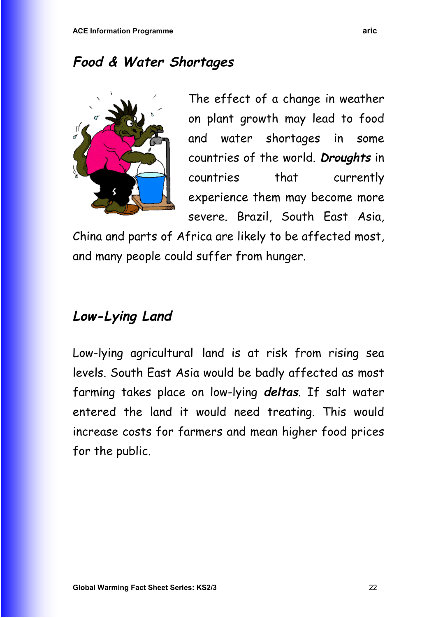# **Food & Water Shortages**

![](_page_21_Picture_2.jpeg)

The effect of a change in weather on plant growth may lead to food and water shortages in some countries of the world. **Droughts** in countries that currently experience them may become more severe. Brazil, South East Asia,

China and parts of Africa are likely to be affected most, and many people could suffer from hunger.

# **Low-Lying Land**

Low-lying agricultural land is at risk from rising sea levels. South East Asia would be badly affected as most farming takes place on low-lying **deltas**. If salt water entered the land it would need treating. This would increase costs for farmers and mean higher food prices for the public.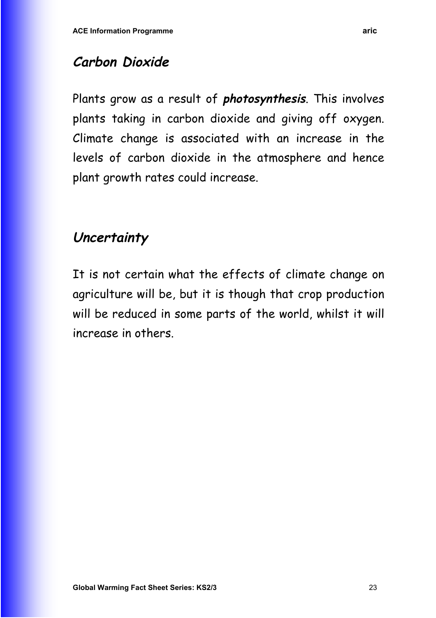# **Carbon Dioxide**

Plants grow as a result of **photosynthesis**. This involves plants taking in carbon dioxide and giving off oxygen. Climate change is associated with an increase in the levels of carbon dioxide in the atmosphere and hence plant growth rates could increase.

# **Uncertainty**

It is not certain what the effects of climate change on agriculture will be, but it is though that crop production will be reduced in some parts of the world, whilst it will increase in others.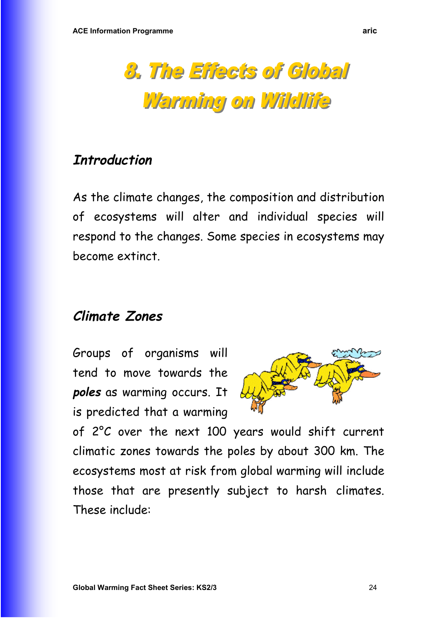![](_page_23_Picture_1.jpeg)

## **Introduction**

As the climate changes, the composition and distribution of ecosystems will alter and individual species will respond to the changes. Some species in ecosystems may become extinct.

# **Climate Zones**

Groups of organisms will tend to move towards the **poles** as warming occurs. It is predicted that a warming

![](_page_23_Picture_6.jpeg)

of 2°C over the next 100 years would shift current climatic zones towards the poles by about 300 km. The ecosystems most at risk from global warming will include those that are presently subject to harsh climates. These include: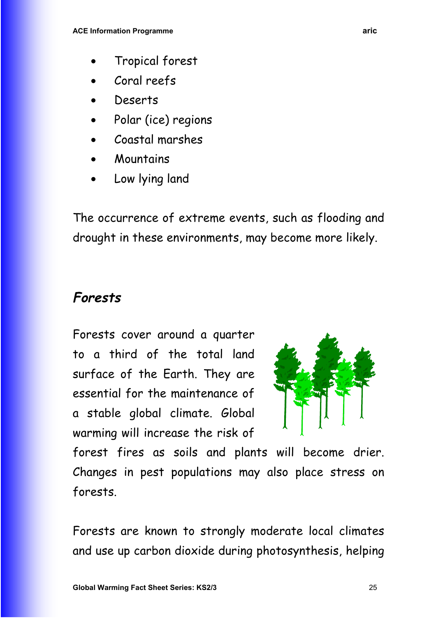- Tropical forest
- Coral reefs
- Deserts
- Polar (ice) regions
- Coastal marshes
- **Mountains**
- Low lying land

The occurrence of extreme events, such as flooding and drought in these environments, may become more likely.

# **Forests**

Forests cover around a quarter to a third of the total land surface of the Earth. They are essential for the maintenance of a stable global climate. Global warming will increase the risk of

![](_page_24_Picture_11.jpeg)

forest fires as soils and plants will become drier. Changes in pest populations may also place stress on forests.

Forests are known to strongly moderate local climates and use up carbon dioxide during photosynthesis, helping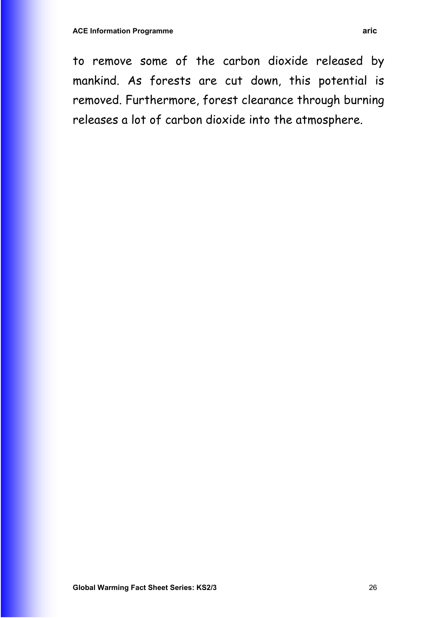to remove some of the carbon dioxide released by mankind. As forests are cut down, this potential is removed. Furthermore, forest clearance through burning releases a lot of carbon dioxide into the atmosphere.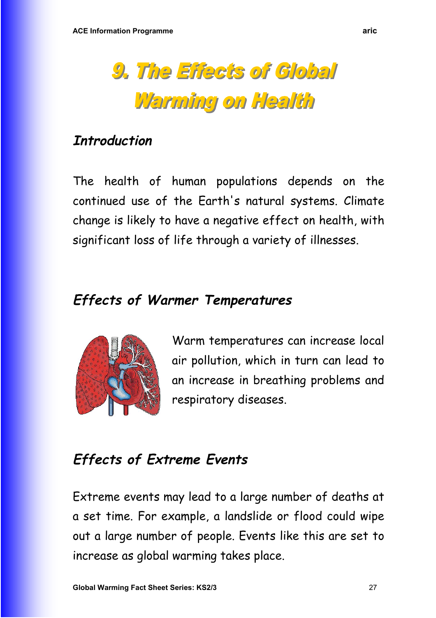![](_page_26_Picture_1.jpeg)

# **Introduction**

The health of human populations depends on the continued use of the Earth's natural systems. Climate change is likely to have a negative effect on health, with significant loss of life through a variety of illnesses.

# **Effects of Warmer Temperatures**

![](_page_26_Picture_5.jpeg)

Warm temperatures can increase local air pollution, which in turn can lead to an increase in breathing problems and respiratory diseases.

# **Effects of Extreme Events**

Extreme events may lead to a large number of deaths at a set time. For example, a landslide or flood could wipe out a large number of people. Events like this are set to increase as global warming takes place.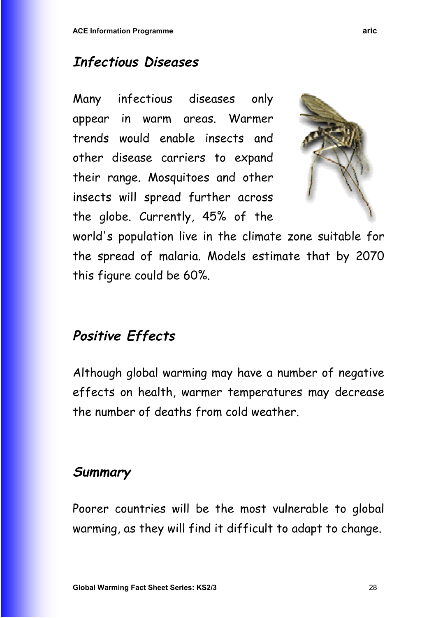# **Infectious Diseases**

Many infectious diseases only appear in warm areas. Warmer trends would enable insects and other disease carriers to expand their range. Mosquitoes and other insects will spread further across the globe. Currently, 45% of the

![](_page_27_Picture_3.jpeg)

world's population live in the climate zone suitable for the spread of malaria. Models estimate that by 2070 this figure could be 60%.

# **Positive Effects**

Although global warming may have a number of negative effects on health, warmer temperatures may decrease the number of deaths from cold weather.

# **Summary**

Poorer countries will be the most vulnerable to global warming, as they will find it difficult to adapt to change.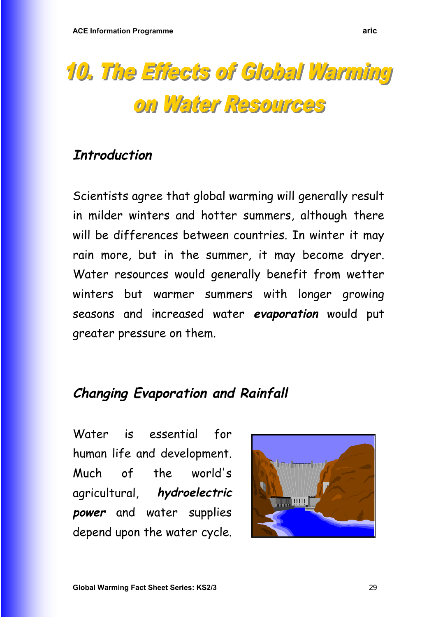![](_page_28_Picture_1.jpeg)

## **Introduction**

Scientists agree that global warming will generally result in milder winters and hotter summers, although there will be differences between countries. In winter it may rain more, but in the summer, it may become dryer. Water resources would generally benefit from wetter winters but warmer summers with longer growing seasons and increased water **evaporation** would put greater pressure on them.

# **Changing Evaporation and Rainfall**

Water is essential for human life and development. Much of the world's agricultural, **hydroelectric power** and water supplies depend upon the water cycle.

![](_page_28_Picture_6.jpeg)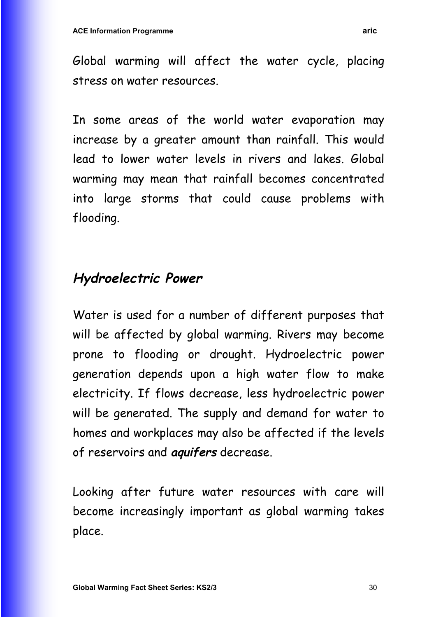Global warming will affect the water cycle, placing stress on water resources.

In some areas of the world water evaporation may increase by a greater amount than rainfall. This would lead to lower water levels in rivers and lakes. Global warming may mean that rainfall becomes concentrated into large storms that could cause problems with flooding.

# **Hydroelectric Power**

Water is used for a number of different purposes that will be affected by global warming. Rivers may become prone to flooding or drought. Hydroelectric power generation depends upon a high water flow to make electricity. If flows decrease, less hydroelectric power will be generated. The supply and demand for water to homes and workplaces may also be affected if the levels of reservoirs and **aquifers** decrease.

Looking after future water resources with care will become increasingly important as global warming takes place.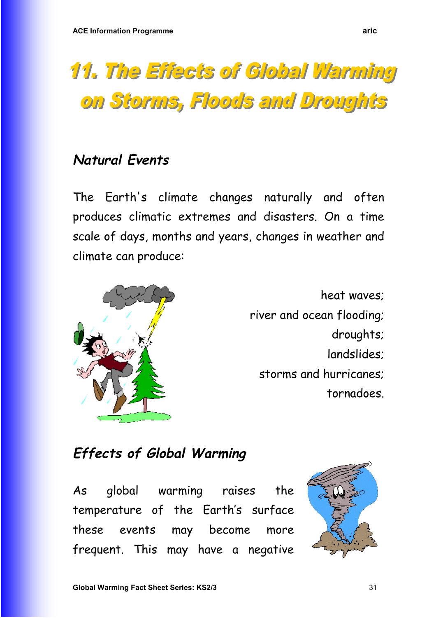# **11. The Effects of Global Warming** on Storms, Floods and Droughts

# **Natural Events**

The Earth's climate changes naturally and often produces climatic extremes and disasters. On a time scale of days, months and years, changes in weather and climate can produce:

![](_page_30_Picture_4.jpeg)

heat waves; river and ocean flooding; droughts; landslides; storms and hurricanes; tornadoes.

# **Effects of Global Warming**

As global warming raises the temperature of the Earth's surface these events may become more frequent. This may have a negative

![](_page_30_Picture_8.jpeg)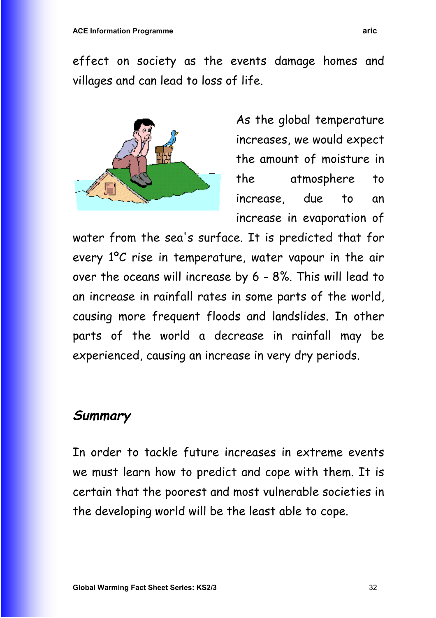effect on society as the events damage homes and villages and can lead to loss of life.

![](_page_31_Picture_2.jpeg)

As the global temperature increases, we would expect the amount of moisture in the atmosphere to increase, due to an increase in evaporation of

water from the sea's surface. It is predicted that for every 1ºC rise in temperature, water vapour in the air over the oceans will increase by 6 - 8%. This will lead to an increase in rainfall rates in some parts of the world, causing more frequent floods and landslides. In other parts of the world a decrease in rainfall may be experienced, causing an increase in very dry periods.

## **Summary**

In order to tackle future increases in extreme events we must learn how to predict and cope with them. It is certain that the poorest and most vulnerable societies in the developing world will be the least able to cope.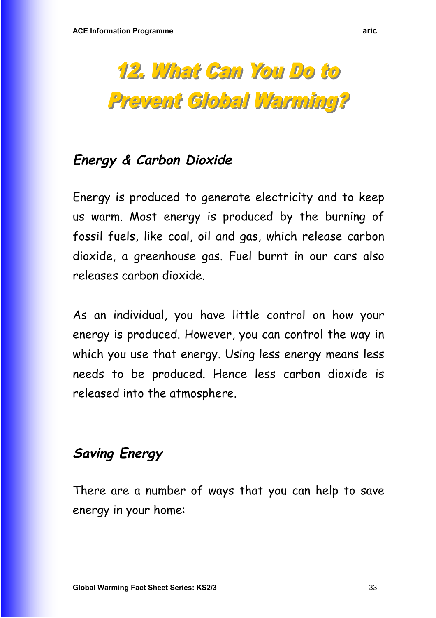# **Energy & Carbon Dioxide**

Energy is produced to generate electricity and to keep us warm. Most energy is produced by the burning of fossil fuels, like coal, oil and gas, which release carbon dioxide, a greenhouse gas. Fuel burnt in our cars also releases carbon dioxide.

As an individual, you have little control on how your energy is produced. However, you can control the way in which you use that energy. Using less energy means less needs to be produced. Hence less carbon dioxide is released into the atmosphere.

# **Saving Energy**

There are a number of ways that you can help to save energy in your home: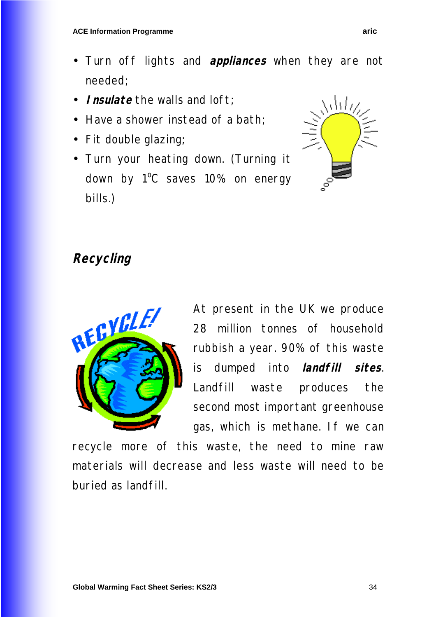- Turn off lights and **appliances** when they are not needed;
- **Insulate** the walls and loft;
- Have a shower instead of a bath;
- Fit double glazing;
- Turn your heating down. (Turning it down by 1<sup>o</sup>C saves 10% on energy bills.)

![](_page_33_Picture_6.jpeg)

# **Recycling**

![](_page_33_Picture_8.jpeg)

At present in the UK we produce 28 million tonnes of household rubbish a year. 90% of this waste is dumped into **landfill sites**. Landfill waste produces the second most important greenhouse gas, which is methane. If we can

recycle more of this waste, the need to mine raw materials will decrease and less waste will need to be buried as landfill.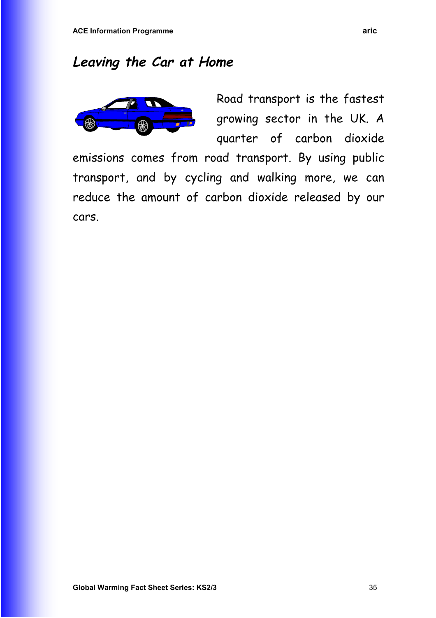# **Leaving the Car at Home**

![](_page_34_Figure_2.jpeg)

Road transport is the fastest growing sector in the UK. A quarter of carbon dioxide

emissions comes from road transport. By using public transport, and by cycling and walking more, we can reduce the amount of carbon dioxide released by our cars.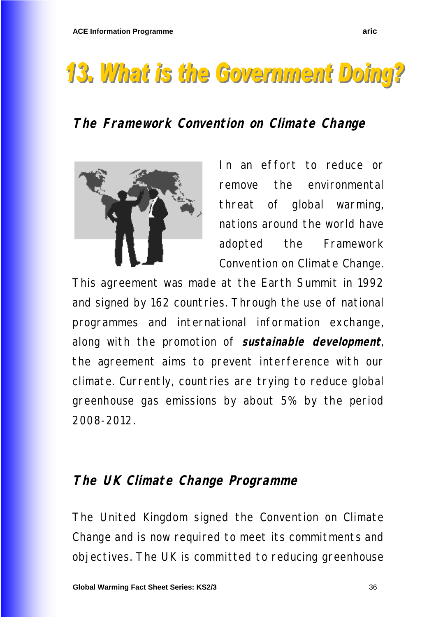# **13. What is the Government Doing?**

# **The Framework Convention on Climate Change**

![](_page_35_Picture_3.jpeg)

In an effort to reduce or remove the environmental threat of global warming, nations around the world have adopted the Framework Convention on Climate Change.

This agreement was made at the Earth Summit in 1992 and signed by 162 countries. Through the use of national programmes and international information exchange, along with the promotion of **sustainable development**, the agreement aims to prevent interference with our climate. Currently, countries are trying to reduce global greenhouse gas emissions by about 5% by the period 2008-2012.

## **The UK Climate Change Programme**

The United Kingdom signed the Convention on Climate Change and is now required to meet its commitments and objectives. The UK is committed to reducing greenhouse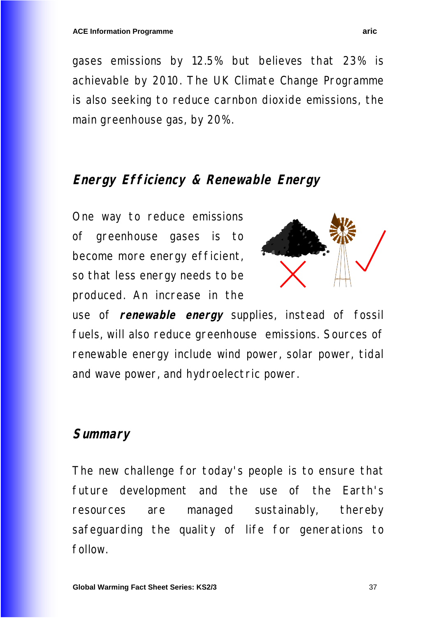gases emissions by 12.5% but believes that 23% is achievable by 2010. The UK Climate Change Programme is also seeking to reduce carnbon dioxide emissions, the main greenhouse gas, by 20%.

## **Energy Efficiency & Renewable Energy**

One way to reduce emissions of greenhouse gases is to become more energy efficient, so that less energy needs to be produced. An increase in the

![](_page_36_Picture_5.jpeg)

use of **renewable energy** supplies, instead of fossil fuels, will also reduce greenhouse emissions. Sources of renewable energy include wind power, solar power, tidal and wave power, and hydroelectric power.

## **Summary**

The new challenge for today's people is to ensure that future development and the use of the Earth's resources are managed sustainably, thereby safeguarding the quality of life for generations to follow.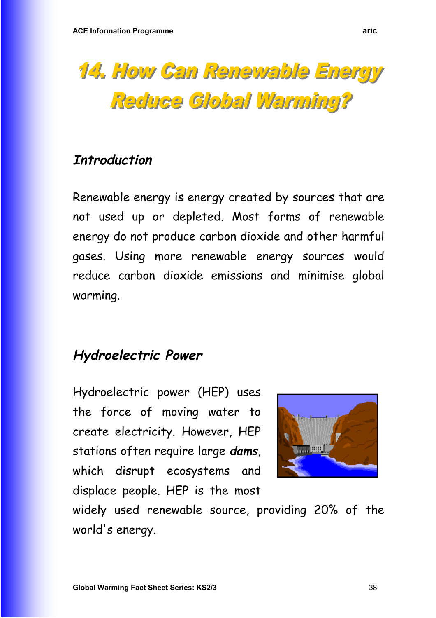![](_page_37_Picture_1.jpeg)

## **Introduction**

Renewable energy is energy created by sources that are not used up or depleted. Most forms of renewable energy do not produce carbon dioxide and other harmful gases. Using more renewable energy sources would reduce carbon dioxide emissions and minimise global warming.

# **Hydroelectric Power**

Hydroelectric power (HEP) uses the force of moving water to create electricity. However, HEP stations often require large **dams**, which disrupt ecosystems and displace people. HEP is the most

![](_page_37_Picture_6.jpeg)

widely used renewable source, providing 20% of the world's energy.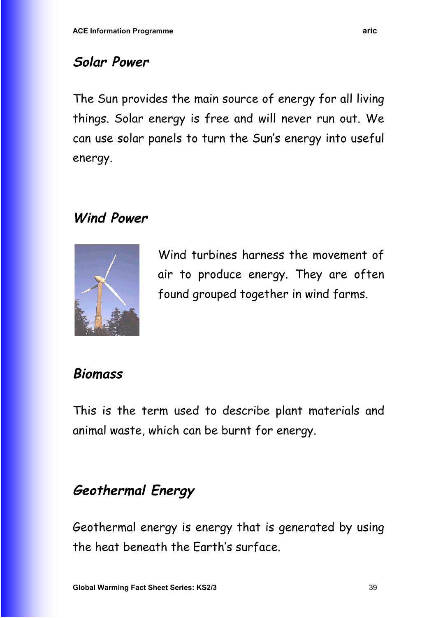# **Solar Power**

The Sun provides the main source of energy for all living things. Solar energy is free and will never run out. We can use solar panels to turn the Sun's energy into useful energy.

# **Wind Power**

![](_page_38_Picture_4.jpeg)

Wind turbines harness the movement of air to produce energy. They are often found grouped together in wind farms.

# **Biomass**

This is the term used to describe plant materials and animal waste, which can be burnt for energy.

# **Geothermal Energy**

Geothermal energy is energy that is generated by using the heat beneath the Earth's surface.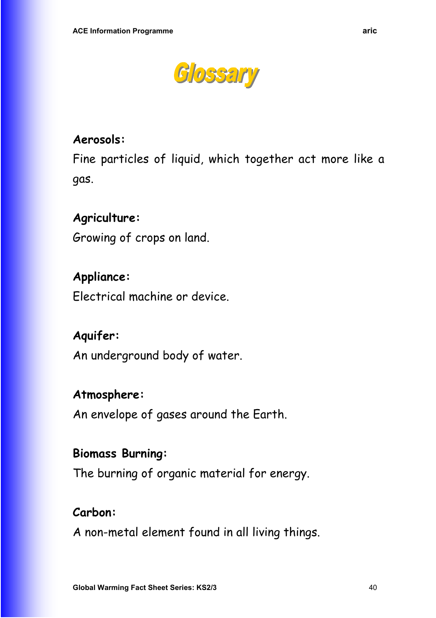![](_page_39_Picture_1.jpeg)

#### **Aerosols:**

Fine particles of liquid, which together act more like a gas.

#### **Agriculture:**

Growing of crops on land.

#### **Appliance:**

Electrical machine or device.

#### **Aquifer:**

An underground body of water.

#### **Atmosphere:**

An envelope of gases around the Earth.

#### **Biomass Burning:**

The burning of organic material for energy.

#### **Carbon:**

A non-metal element found in all living things.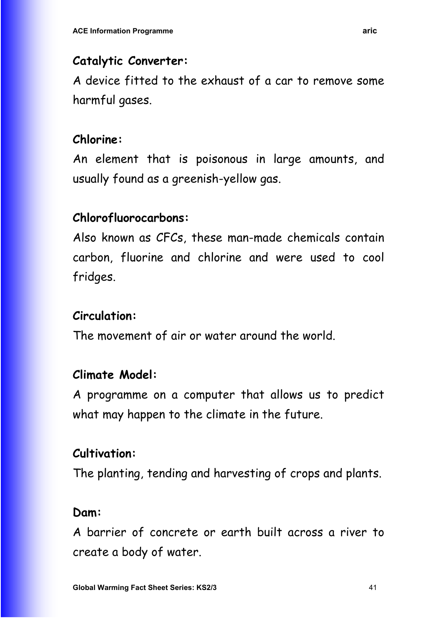#### **Catalytic Converter:**

A device fitted to the exhaust of a car to remove some harmful gases.

## **Chlorine:**

An element that is poisonous in large amounts, and usually found as a greenish-yellow gas.

# **Chlorofluorocarbons:**

Also known as CFCs, these man-made chemicals contain carbon, fluorine and chlorine and were used to cool fridges.

# **Circulation:**

The movement of air or water around the world.

## **Climate Model:**

A programme on a computer that allows us to predict what may happen to the climate in the future.

## **Cultivation:**

The planting, tending and harvesting of crops and plants.

## **Dam:**

A barrier of concrete or earth built across a river to create a body of water.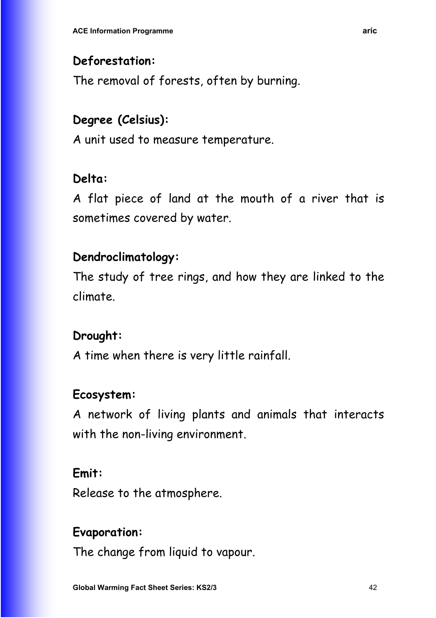## **Deforestation:**

The removal of forests, often by burning.

# **Degree (Celsius):**

A unit used to measure temperature.

# **Delta:**

A flat piece of land at the mouth of a river that is sometimes covered by water.

# **Dendroclimatology:**

The study of tree rings, and how they are linked to the climate.

# **Drought:**

A time when there is very little rainfall.

## **Ecosystem:**

A network of living plants and animals that interacts with the non-living environment.

## **Emit:**

Release to the atmosphere.

## **Evaporation:**

The change from liquid to vapour.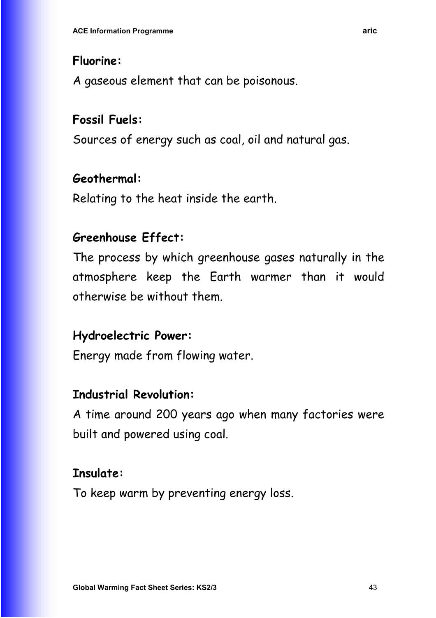#### **Fluorine:**

A gaseous element that can be poisonous.

# **Fossil Fuels:**

Sources of energy such as coal, oil and natural gas.

## **Geothermal:**

Relating to the heat inside the earth.

## **Greenhouse Effect:**

The process by which greenhouse gases naturally in the atmosphere keep the Earth warmer than it would otherwise be without them.

#### **Hydroelectric Power:**

Energy made from flowing water.

#### **Industrial Revolution:**

A time around 200 years ago when many factories were built and powered using coal.

#### **Insulate:**

To keep warm by preventing energy loss.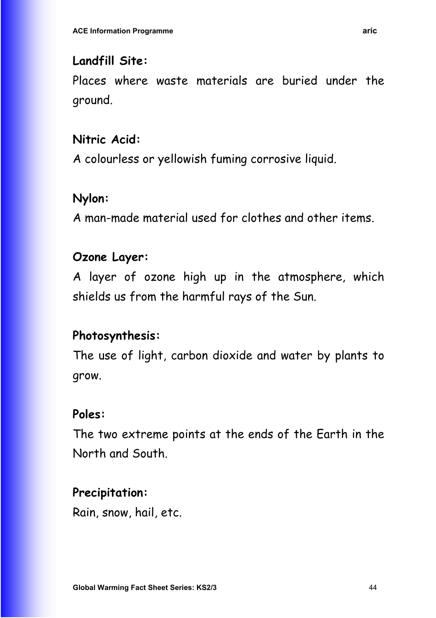#### **Landfill Site:**

Places where waste materials are buried under the ground.

## **Nitric Acid:**

A colourless or yellowish fuming corrosive liquid.

## **Nylon:**

A man-made material used for clothes and other items.

## **Ozone Layer:**

A layer of ozone high up in the atmosphere, which shields us from the harmful rays of the Sun.

## **Photosynthesis:**

The use of light, carbon dioxide and water by plants to grow.

## **Poles:**

The two extreme points at the ends of the Earth in the North and South.

## **Precipitation:**

Rain, snow, hail, etc.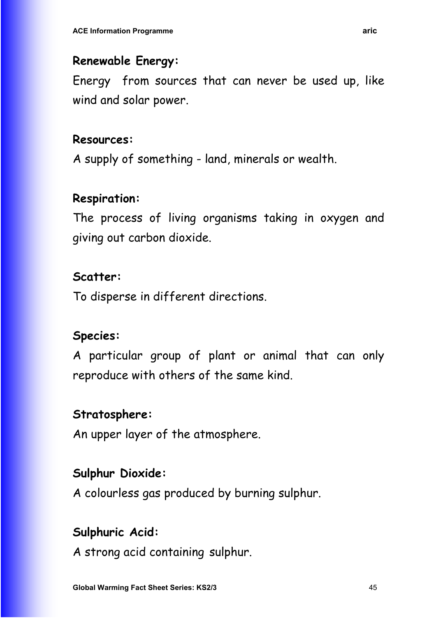#### **Renewable Energy:**

Energy from sources that can never be used up, like wind and solar power.

#### **Resources:**

A supply of something - land, minerals or wealth.

## **Respiration:**

The process of living organisms taking in oxygen and giving out carbon dioxide.

## **Scatter:**

To disperse in different directions.

## **Species:**

A particular group of plant or animal that can only reproduce with others of the same kind.

## **Stratosphere:**

An upper layer of the atmosphere.

## **Sulphur Dioxide:**

A colourless gas produced by burning sulphur.

## **Sulphuric Acid:**

A strong acid containing sulphur.